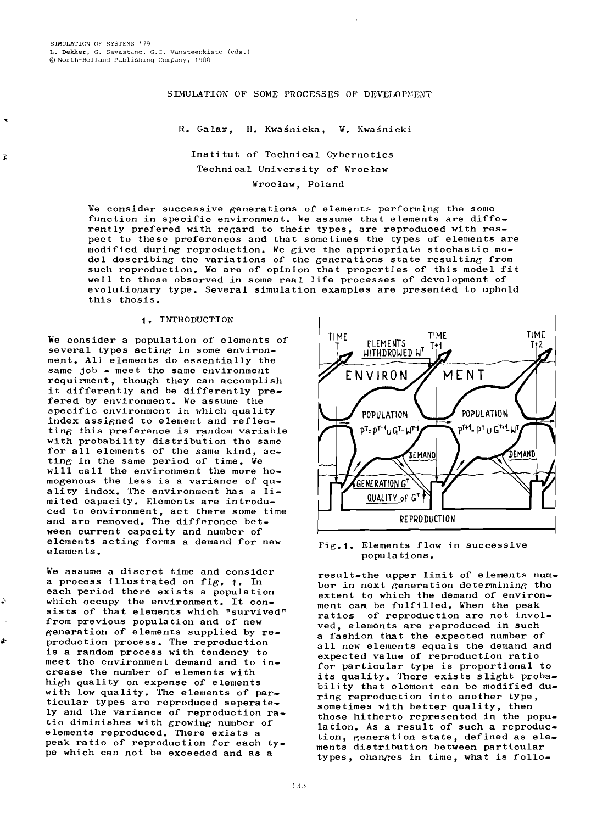È

## SIMULATION OF SOME PROCESSES OF DEVELOPMENT

R. Galar, H. Kwaśnicka, W. Kwaśnicki

# Institut of Technical Cybernetics Technical University of Wroclaw Wrocław. Poland

We consider successive generations of elements performing the some function in specific environmont. We assume that elements are differently prefered with regard to their types, are reproduced with respect to these preferences and that sometimes the types of elements are modified during reproduction. We give the appriopriate stochastic modo1 describing the variations of the generations state resulting from such reproduction. Wo aro of opinion that properties of this model fit well to thoso observed in some real life processes of development of evolutionary type. Several simulation examples are presented to uphold this thesis.

## **<sup>1</sup>**. INTRODUCTION

We consider a population of elements of sevoral types acting in some environment. All elements do essentially the same job - meet the same environment requirment, though they can accomplish it differently and be differently prefered by environment. We assume the specific onvironmcnt in which quality index assigned to element and reflecting this preference is random variable with probability distribution tho same for all elements of the same kind, acting in the same period of time. We will call the environment the more homogenous the less is a variance of quali ty index. The environment has a limi ted capacity. Elements are introducod to environment, act there some time and are removed. The difference between current capacity and number of elements acting forms a demand for new Fig.1. Elements flow in successive elements.

We assume a discret time and consider a process illustrated on fig. 1. In each period there exists a population which occupy the environment. It consists of that elements which "survived" from previous population and of new generation of elements supplied by reproduction process. The reproduction is a random process with tendency to meet the environment demand and to increase the number of elements with high quality on expense of elements with low quality. The elements of particular types are reproduced seperately and the variance of reproduction ratio diminishes with growing number of elements reproduced. There exists a peak ratio of reproduction for oach type which can not be exceeded and as a



result-the upper limit of elements number in next generation determining the extent to which the demand of environment can be fulfilled. When the peak ratios of reproduction are not involved, elements are reproduced in such a fashion that the expected number of all new elements equals the demand and expected value of reproduction ratio for particular type is proportional to its quality. Thore exists slight probability that element can be modified during reproduction into another type, sometimes with better quality, then those hitherto represented in the population. As a result of such a reproduction, generation state, defined as elements distribution be tween particular types, changes in time, what is follo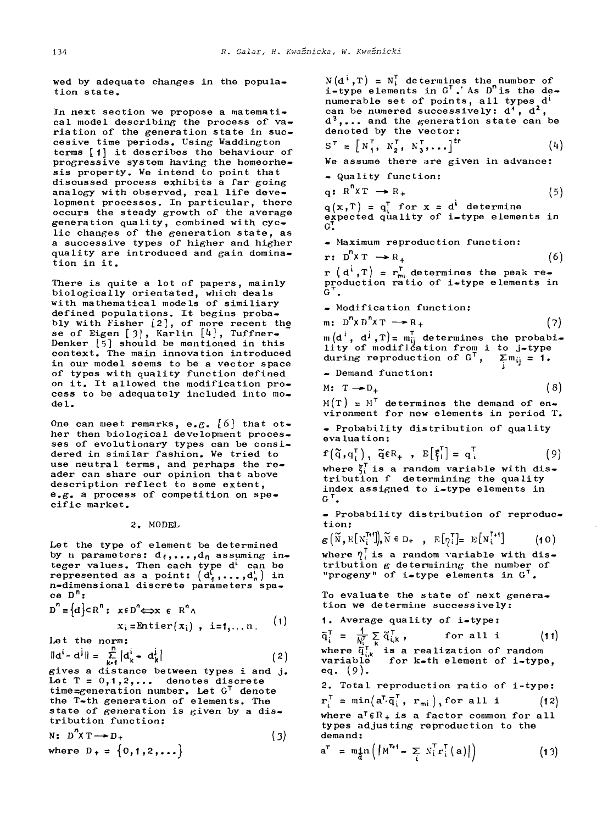wed by adequate changes in the population state.

In next section we propose a matematical model describing the process of variation of the generation state in succesive time periods. Using Waddington terms [1] it describes the behaviour of progressive system having the homeorhesis property. We intend to point that discussed process exhibits a far going analogy with observed, real life development processes. In particular, there occurs the steady growth of the average generation quality, combined with  $cyc$ lic changes of the generation state, as a successive types of higher and higher quality are introduced and gain domination in it.

There is quite a lot of papers, mainly biologically orientated, which deals with mathema tical mode 1s of similiary defined populations. It begins proba-bly with Fisher 121, of more recent the se of Eigen [3], Karlin [4], Tuffner-Denker *[5]* should be mentioned in this context. The main innovation introduced in our model seems to be a vector space of types with quality function defined on it. It allowed the modification process to be adequately included into mode 1.

One can meet remarks, e.g.  $[6]$  that other then biological development processes of evolutionary types can be considered in similar fashion. We tried to use neutral terms, and perhaps the reader can share our opinion that above description reflect to some extent, e.g. a process of competition on specific market.

2. MODEL

Let the type of element be determined by n parameters:  $d_1, \ldots, d_n$  assuming integer values. Then each type  $d^i$  can be represented as a point:  $(d^i_1, ..., d^i_n)$  in n-dimensional discrete parameters space  $D^n$ :

$$
D^{n} = \{d\} \subset R^{n}: x \in D^{n} \Longleftrightarrow x \in R^{n} \wedge x; z \equiv \text{Interior}(x_{i}), i = 1,..., n. \qquad (1)
$$

Let the norm:  
\n
$$
||\mathbf{d}^{i} - \mathbf{d}^{j}|| = \sum_{k=1}^{n} |\mathbf{d}_{k}^{i} - \mathbf{d}_{k}^{j}|
$$
\n(2)

gives a distance between types i and j.<br>Let  $T = 0,1,2,...$  denotes discrete timezgeneration number. Let G<sup>T</sup> denote the T-th generation of elements. The state of generation is given by a distribution function:

N: 
$$
D^{n} \times T \longrightarrow D_{+}
$$
 (3)  
where  $D_{+} = \{0, 1, 2, ... \}$ 

 $N(d^i, T) = N_i^T$  determines the number of  $i$ -type elements in  $G^T$ . As  $D^n$  is the denumerable set of points, all types  $d^i$ <br>can be numered successively:  $d^4$ ,  $d^2$ , numerable set of points, all types d'<br>can be numered successively: d<sup>4</sup>, d<sup>2</sup>,<br>d<sup>3</sup>,... and the generation state can be<br>denoted by the vector:  $S^T = [N_1^T, N_2^T, N_3^T, \ldots]^{tr}$  (4)

We assume there are given in advance:

- Quality function:

We assume there are given in advance:<br>
- Quality function:<br>
q:  $R^{n}XT \rightarrow R_{+}$  (5)

 $q(x,T) = q_1^T$  for  $x = d'$  determine expected quality of i-type elements in<br>G!

- Maximum reproduction function :

 $r: D^{n} \times T \rightarrow R_{+}$  (6)

 $r(\mathbf{d}^i, T) = r_{\text{mi}}^T$  determines the peak re-<br>production ratio of i-type elements in  $G^T$ .

- Modification function:

$$
D^n \times D^n \times T \longrightarrow R_+
$$

m: D'XD'XT  $\longrightarrow R_+$  (7)<br>m(d<sup>i</sup>, d<sup>j</sup>,T)=  $m_{ij}^T$  determines the probabi-<br>lity of modification from i to j-type during reproduction of  $G^T$ ,  $\sum_{i=1}^\infty m_{ij} = 1$ .<br> **Demand function:** 

$$
M: T \rightarrow D_+ \tag{8}
$$

 $M(T) = M<sup>T</sup>$  determines the demand of environment for new elements in period T.

- Probability distribution of quality evaluation:

$$
f(\tilde{q}, q_i^{\mathsf{T}}), \tilde{q} \in R_+, \quad E[\xi_i^{\mathsf{T}}] = q_i^{\mathsf{T}}
$$
 (9)

where  $\xi_i$  is a random variable with distribution f determining the quality index assigned to i-type elements in  $G^T$ .

- Probability distribution of reproduction:

 $g\left(\widetilde{N},E\left[N_i^{T+1}\right]\right), \widetilde{N} \in D_+$ ,  $E\left[\gamma_i^T\right] = E\left[N_i^{T+1}\right]$  (10) where  $\eta_i^T$  is a random variable with distribution g determining the number of "progeny" of i-type elements in  $G^T$ .

To evaluate the state of next generation we determine successively:

1. Average quality of i-type:

 $\bar{q}_i^T = \frac{1}{N_i^T} \sum_{k} \tilde{q}_{i,k}^T$ , for all i (11) where  $\tilde{q}_{i,k}^T$  is a realization of random<br>variable for k-th element of i-type, eq. (9).

2. Total reproduction ratio of i-type:  $r_i^T = min(a^T \cdot \bar{q}_i^T, r_{mi}),$  for all i (12) where  $a^T \n\epsilon R_+$  is a factor common for all types adjusting reproduction to the demand:

$$
\mathbf{a}^{\mathsf{T}} = \min_{\mathbf{a}} \left( \left| \mathbf{M}^{\mathsf{T} \star \mathsf{T}} - \sum_{i} \mathbf{N}_{i}^{\mathsf{T}} \mathbf{r}_{i}^{\mathsf{T}} \left( \mathbf{a} \right) \right| \right) \tag{13}
$$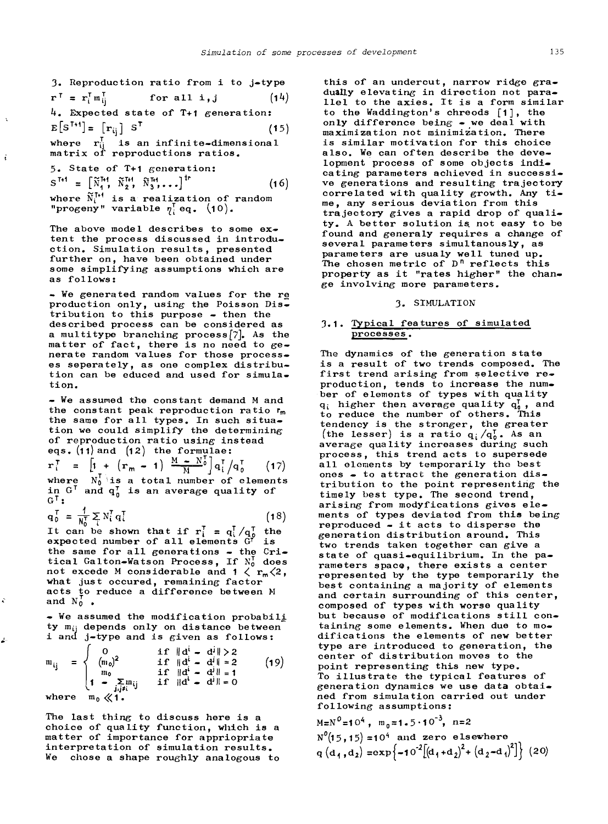3. Reproduction ratio from i to j-type  $\mathbf{r}^{\mathsf{T}} = \mathbf{r}_{i}^{\mathsf{T}} \mathbf{m}_{ii}^{\mathsf{T}}$ for all i,j  $(14)$ 4. Expected state of T+l generation:  $E[S^{T+1}] = [\mathbf{r}_{ij}] S^{T}$  (15)

where  $\mathbf{r}_{ij}^{\text{T}}$  is an infinite-dimensional matrix of reproductions ratios. **<sup>t</sup>**

> 5. State of T+1 generation:<br> $S^{T+1} = \begin{bmatrix} \tilde{N}_1^{T+1} & \tilde{N}_2^{T+1} & \tilde{N}_3^{T+1} & \cdots \end{bmatrix}^{T}$  $(16)$ where  $\widetilde{N}^{\uparrow\leftrightarrow}_{i}$  is a realization of random "progeny" variable  $\eta_i^{\intercal}$  eq.  $(10)$ .

The above model describes to some extent the process discussed in introduction. Simulation results, presented further on, have been obtained under some simplifying assumptions which are as follows:

- We generated random values for the re production only, using the Poisson Distribution to this purpose - then the described process can be considered as a multitype branching process[7]. As the matter of fact, there is no need to generate random values for those processes seperately, as one complex distribution can be educed and used for simulation.

- We assumed the constant demand M and the constant peak reproduction ratio **r,**  the same for all types. In such situation we could simplify the determining of reproduction ratio using instead eqs.  $(11)$  and  $(12)$  the formulae:

$$
\mathbf{r}_i^{\mathsf{T}} = \begin{bmatrix} 1 + (\mathbf{r}_m - 1) & \frac{M - N_0^{\mathsf{T}}}{M} \end{bmatrix} \mathbf{q}_i^{\mathsf{T}} / \mathbf{q}_0^{\mathsf{T}} \qquad (17)
$$
  
where  $N_0^{\mathsf{T}}$  is a total number of elements

in  $G^T$  and  $q_0^T$  is an average quality of  $G^T$ :

$$
\mathbf{q}_0^{\mathsf{T}} = \frac{1}{N_0^{\mathsf{T}}} \sum_i N_i^{\mathsf{T}} \mathbf{q}_i^{\mathsf{T}}
$$
 (18)

It can be shown that if  $r_i^T = q_i^T/q_0^T$  the expected number of all elements  $G<sup>T</sup>$  is the same for all generations - the Critical Galton-Watson Process, If **h';** does not excede M considerable and  $1 < r_m \langle 2, r_m \rangle$ what just occured, remaining factor acts to reduce a difference between **M**<br>and N<sub>0</sub>.<br>• We assumed the modification probabil<u>i</u>

• We assumed the modification probabily<br>ty m<sub>ij</sub> depends only on distance between<br>i and j-type and is given as follows:

$$
m_{ij} = \begin{cases} 0 & \text{if } \|d^{i} - d^{j}\| > 2 \\ (m_{0})^{2} & \text{if } \|d^{i} - d^{j}\| = 2 \\ m_{0} & \text{if } \|d^{i} - d^{j}\| = 1 \\ 1 - \sum_{j,j \neq i} m_{ij} & \text{if } \|d^{i} - d^{j}\| = 1 \\ m_{0} \ll 1. \end{cases}
$$

The last thing to discuss here is a choice of quality function, which is a matter of importance for appriopriate interpretation of simulation results. We chose a shape roughly analogous to

this of an undercut, narrow ridge gradually elevating in direction not parallel to the axies. It is a form similar to the Waddington's chreods [I], the only difference being  $\bullet$  we deal with maximiza tion not minimization. There is similar motivation for this choice also. We can often describe the development process of some objects indicating parameters achieved in successive generations and resulting trajectory correlated with quality growth. Any time, any serious deviation from this trajectory gives a rapid drop of quality. A better solution is not easy to be found and generaly requires a change of several parameters simultanous ly , as parameters are usualy well tuned up. The chosen metric of  $D<sup>n</sup>$  reflects this property as it "rates higher" the change involving more parameters.

#### 3. SIMULATION

#### 3.1. Typical features of simulated processes.

**The** dynamics of the generation state is a result of two trends composed. The first trend arising from selective reproduction. tends to increase the number of elements of types with quality  $\mathbf{q}_i$  higher then average quality  $\mathbf{q_i^{\intercal}}$  , and to reduce the number of others. This tendency is the stronger, the greater (the lesser) is a ratio  $q_i/q_0^T$ . As an average quality increases during such process, this trend acts to supersede all elements by temporarily tho best ones - to attract the generation distribution to the point representing the timely best type. The second trend, arising from modyfications gives elements of types deviated from this being reproduced - it acts to disperse the generation distribution around. This two trends taken together can give a state of quasi-equilibrium. In the parameters space, there exists a center represented by the type temporarily the best containing a majority of elements and certain surrounding of this center, composed of types with worse quality but because of modifications still containing some elements. When due to modifications the elements of new better type are introduced to generation, the center of distribution moves to the point representing this new type. To illustrate the typical features of generation dynamics we use data obtained from simulation carried out under following assumptions :

 $M=N^0=10^4$ ,  $m_0=1.5 \cdot 10^{-3}$ , n=2  $N^0(15,15)$  =10<sup>4</sup> and zero elsewhere  $q (d_1, d_2) = exp{-10~[(d_1+d_2)^+ (d_2-d_1)]}$  (20)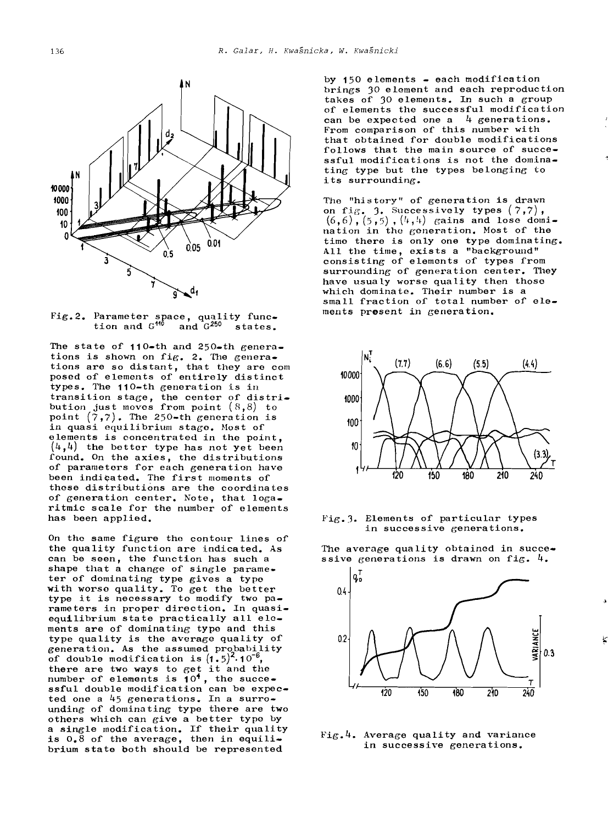



The state of 110-th and 250-th generations is shown on fig. 2. The generations are so distant, that they are com posed of elements of entirely distinct types. The  $110$ -th generation is in transition stage, the center of distri-<br>bution just moves from point  $(8,8)$  to point  $(7,7)$ . The 250-th generation is in quasi equilibrium stage. Most of elements is concentrated in the point,  $(4, 4)$  the better type has not yet been found. On the axies, the distributions of parameters for each generation have been indicated. The first moments of those distributions are the coordinates of generation center. Kote, that logaritmic scale for the number of elements has been applied.

On tho same figure tho contour lines of the quality function are indicated. As can be seen, the function has such a shape that a change of single parameter of dominating type gives a typo with worso quality. To get the better type it is necessary to modify two parameters in proper direction. In quasiequilibrium state practically all elcments are of dominating type and this type quality is the average quality of generation. As the assumed probability of double modification is  $(1.5)^2.10^{-6}$ there are two ways to get it and the number of elements is  $10<sup>4</sup>$ , the successful double modification can be expected one a 45 generations. In a surrounding of dominating type there are two othors which can give a better typo by a single modification. If their quality is 0.8 of the average, then in equilibrium state both should be represented

by 150 elements - each modification hrings 30 element and each reproduction takes of 30 elements. In such a group of elements the successful modification can be expected one a  $4$  generations. From comparison of this number with that obtained for double modifications follows that the main source of successful modifications is not the dominating type but the types belonging to its surrounding.

Tho "history" of generation is drawn on fig. 3. Successively types  $(7,7)$ , *(6,6)* , *(5 ,5)* , **('r** ,!&) gains and loso domi nation in the generation. Most of the timo there is only one type dominating. All the time, exists a "background" consisting of elements of types from surrounding of generation center. They have usualy worse quality then those which dominate. Their number is a small fraction of total number of eloments present in generation.



Fig. 7. Elements of particular types in successive generations.

The average quality obtained in successive generations is drawn on fig. 4.



 $Fig. 4.$  Average quality and variance in successive generations.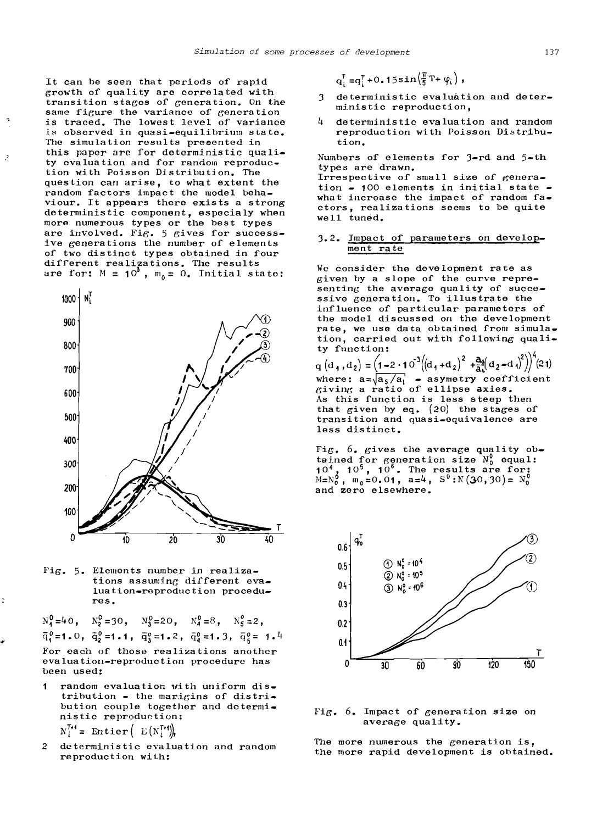It can be seen that periods of rapid growth of quality are correlated with transition stages of generation. On the same figure the variance of genera tion is traced. The lowest level of variance is observed in quasi-equilibrium state. The simulation results presented in this paper are for determinis tic quality evaluation and for random reproduction wi th Poisson Distribution. The question can arise, to what extent the random factors impact the model behaviour. It appears there exists a strong deterministic component, especia ly when more numerous types or the best types are involved. Fig. 5 gives for successive generations the number of elements of two distinct types obtained in four different realizations. The results are for:  $M = 10^3$ ,  $m_0 = 0$ . Initial state:

 $\mathcal{L}$ 



Fig.  $5$ . Elements number in realizations assuming different evalua tion-roproduc tion procedures.

 $N_4^0 = 40$ ,  $N_2^0 = 30$ ,  $N_3^0 = 20$ ,  $N_4^0 = 8$ ,  $N_5^0 = 2$ ,  $\bar{q}_4^0$ =1.0,  $\bar{q}_2^0$ =1.1,  $\bar{q}_3^0$ =1.2,  $\bar{q}_4^0$ =1.3,  $\bar{q}_5^0$ = 1.4 For each of those realizations another evaluation-reproduction procedure has been used:

- 1 random evaluation with uniform distribution - the marigins of distribution couple together and deterministic reproduction:  $N_i^{T+1} =$  **Entier**  $(E[N_i^{T+1})]$ ,
- 2 deterministic evaluation and random reproduction with:

 $q_i^T = q_i^T + 0.15 \sin(\frac{\pi}{5}T + \varphi_i),$ 

- **3** deterministic evaluation and deterministic reproduction,
- de terministic evaluation and random reproduction with Poisson Distribution.

Numbers of elements for 3-rd and 5-th types are drawn. Irrespective of small size of generation  $-$  100 elements in initial state  $$ what increase the impact of random factors, realizations seems to be quite we 11 tuned.

## 3.2. Impact of parameters on development rate

We consider the development rate as given by a slope of the curve representing the average quality of successive generation. To illustrate the influence of particular parameters of the model discussed on the development rate, we use data obtained from simulation, carried out with following quali-<br>ty function:

 $q\left(d_1, d_2\right) = \left(1 - 2 \cdot 10^{-3} \left(\left(d_1 + d_2\right)^2 + \frac{24}{a_1}\left(d_2 - d_1\right)^2\right)\right)^4 (21)$ where:  $a = \sqrt{a_5/a_1}$  asymetry coefficient<br>giving a ratio of ellipse axies. As this function is less steep then that given by eq.  $(20)$  the stages of transition and quasi-equivalence are less distinct.

Fig. 6. gives the average quality obtained for generation size **N:** equal:  $10^4$ ,  $10^5$ ,  $10^6$ . The results are for:  $M=N_0^0$ ,  $m_0=0.01$ , a=4,  $S^0:N(30,30)=N_0$ and zero elsewhere.



Fig. 6. Impact of generation size on average quality.

The more numerous the generation is, the more rapid development is obtained.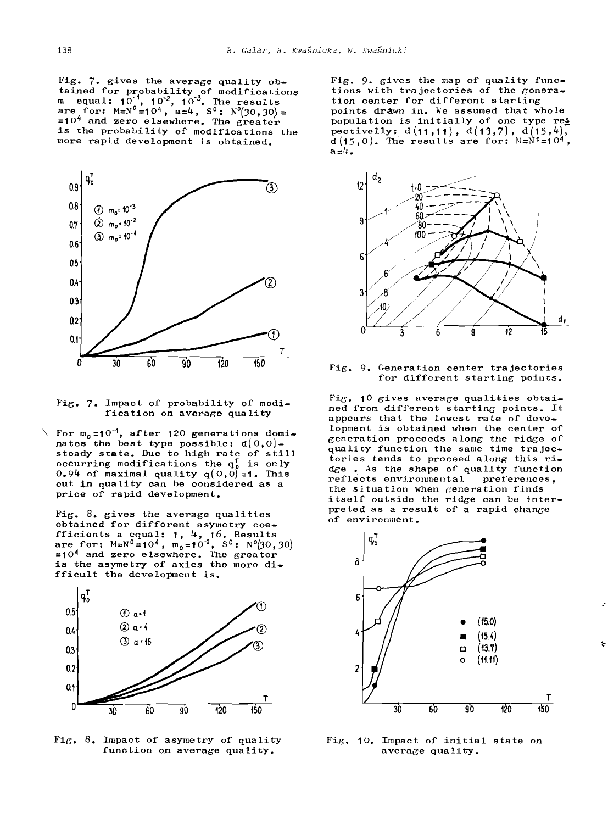tained for probability of modifications tions with trajectories of the generam equal:  $10^{-1}$ ,  $10^{-2}$ ,  $10^{-3}$ . The results tion center for different starting are for:  $M=N^0=10^4$ ,  $a=4$ ,  $S^0$ :  $N^0(30,30)$  = points drawn in. We assumed that whole are for:  $M=N^0=10^4$ ,  $a=4$ ,  $S^0$ :  $N^0(30,30)$  = points drawn in. We assumed that whole =10<sup>4</sup> and zero elsewhore. The greater population is initially of one type re<u>s</u> is the probability of modifications the pectivelly is the probability of modifications the pectivelly:  $d(11,11)$ ,  $d(13,7)$ ,  $d(15,4)$ , more rapid development is obtained.  $d(15,0)$ . The results are for:  $N=N^0=10^4$ ,



Fig. 7. Impact of probability of modification on average quality

 $\searrow$  For m<sub>o</sub>=10<sup>-1</sup>, after 120 generations dominates the best type possible:  $d(0,0)$ steady state. Due to high rate of still occurring modifications the  $q_0^T$  is only 0.94 of maximal quality  $q(0,0)=1$ . This cut in quality can be considered as a price of rapid development.

Fig. 8. gives the average qualities obtained for different asymetry coefficients a equal: 1, 4, 16. Results<br>are for:  $M \approx N^0 = 10^4$ ,  $m_0 = 10^{-2}$ ,  $S^0$ :  $N^0(30, 30)$ <br>=10<sup>4</sup> and zero elsewhere. The greater is the asymetry of axies the more difficult the development is.



Fig. 8. Impact of asymetry of quality function on average quality.

Fig. 7. gives the average quality  $ob-$  Fig. 9. gives the map of quality func-<br>tained for probability of modifications tions with trajectories of the generad(15,0). The results are for:  $M=N^0=10^4$ ,  $a = 4$ .



Fig. 9. Genera tion center trajectories for different starting points.

Fig. 10 gives average qualities obtained from different starting points. It appears that the lowest rate of development is obtained when the center of generation proceeds along the ridge of quality function the same time trajectories tends to proceed along this ridge. As the shape of quality function<br>reflects environmental preferences. reflects environmental the situation when generation finds itself outside the ridge can be interpreted as a result of a rapid change of environment.



Fig. 10. Impact of initial state on average quality .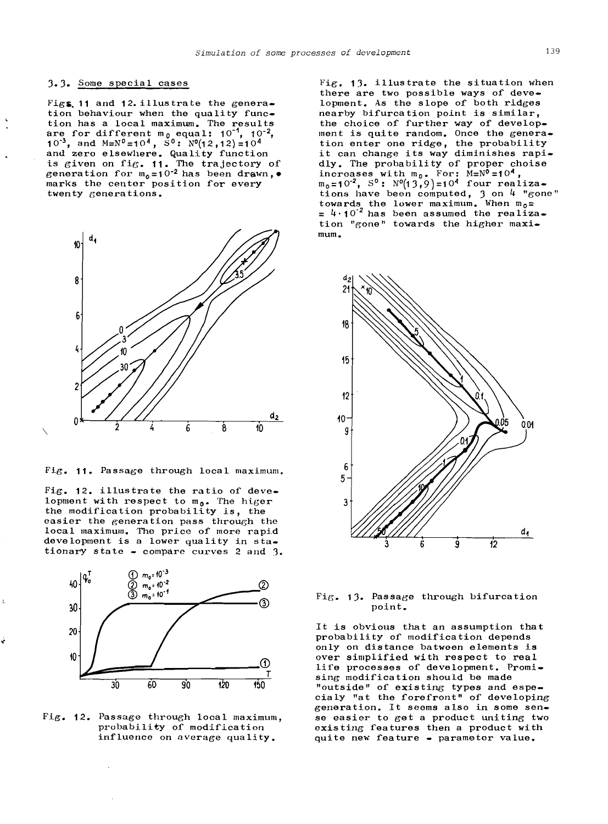#### 3.3. Some special cases

Figs. 11 and 12. illustrate the generation behaviour when the quality func-<br>tion has a local maximum. The results are for different m<sub>0</sub> equal:  $10^{-1}$ , and M=N<sup>0</sup>=10<sup>4</sup>, S<sup>0</sup>: N<sup>0</sup>(12,12)=10<sup>4</sup> and zero elsewliere. Quality function is given on fig. 11. The trajectory of generation for  $m_0 = 10^{-2}$  has been drawn, marks the center position for every twenty generations.



Fig. 11. Passage through local maximum.

Fig.  $12.$  illustrate the ratio of development with respect to  $m_0$ . The higer the modification probability is, the easier the generation pass through the local maximum. The price of more rapid development is a lower quality in stationary state - compare curves 2 and 3.



Fig. 12. Passage through local maximum, probability of modification influence on average quality.

Fig. 13. illustrate the situation when there are two possible ways of development. As tho slope of both ridges nearby bifurcation point is similar,<br>the choice of further way of development is quite random. Once the generation enter one ridge, the probability it can change its way diminishes rapidly. The prohabili ty of proper choise increases with  $m_0$ . For:  $M=N^0=10^4$ ,  $m_0=10^{-2}$ , S<sup>o</sup>:  $N^0(13,9)=10^4$  four realizations have been computed, 3 on 4 "gone" towards the lower maximum. When  $m_0=$  $=$   $4 \cdot 10^{-2}$  has been assumed the realiza. tion "gone" towards the higher maximum.



 $Fig. 13.$  Passage through bifurcation point.

It is obvious that an assumption that probability of modif ica tion depends only on distance batwoen elements is over simplified with respect to real life processes of development. Promising modification should be made "outside" of existing types and especialy "at the forefront" of developing generation. It seems also in some sense easier to get a product uniting two existing features then a product with quite new feature - parameter value.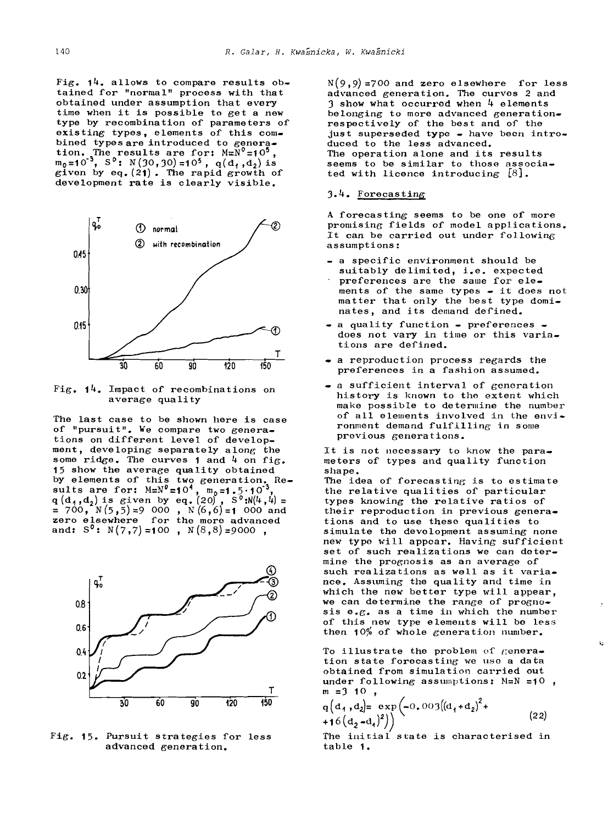Fig. 14. allows to compare results obtained for "normal" process with that obtained under assumption that evory time when it is possible to get a new type by recombination of parameters of existing types, elements of this combined types are introduced to genoration. The results are for:  $M = N^0 = 10^5$  $\frac{1}{2}$  or  $\frac{1}{3}$ ,  $\frac{1}{3}$ ,  $\frac{1}{3}$ ,  $\frac{1}{3}$ ,  $\frac{1}{3}$ ,  $\frac{1}{3}$ ,  $\frac{1}{3}$ ,  $\frac{1}{3}$ ,  $\frac{1}{3}$ ,  $\frac{1}{3}$ ,  $\frac{1}{3}$ ,  $\frac{1}{3}$ ,  $\frac{1}{3}$ ,  $\frac{1}{3}$ ,  $\frac{1}{3}$ ,  $\frac{1}{3}$ ,  $\frac{1}{3}$ ,  $\frac{1}{3}$ ,  $\frac{1}{3}$ ,



Fig. 14. Impact of recombinations on average quality

The last case to be shown here is case of "pursuit". We compare two generations on different level of development, developing separately along the some ridge. The curves 1 and 4 on fig. 15 show the average quality obtained by elements of this two generation. Results are for:  $M=N^0=10^4$ ,  $m_b=1.5.10^{-3}$ ,<br>q(d<sub>4</sub>,d<sub>2</sub>) is given by eq. (20),  $S^0:N(4,4) =$ <br>= 700,  $N(5,5)=9$  000,  $N(6,6)=1$  000 and<br>zero elsewhere for the more advanced and:  $S^0$ :  $N(7,7) = 100$ ,  $N(8,8) = 9000$ ,



Fig. 15. Pursuit strategies for less advanced generation.

 $N(9,9)$  =700 and zero elsewhere for less advanced generation. The curvos 2 and 3 show what occurrod when 4 elements belonging to more advanced generationrespectively of the best and of the just superseded type - have been introduced to the less advanced. The operation alone and its results seems to be similar to those associated with licence introducing  $[8]$ .

## 3.4. Forecasting

**<sup>A</sup>**forecasting seems to be one of more promising fields of model applications. It can be carried out under following assumptions :

- a specific environment should be suitably delimited, i.e. expected
- $preferences$  are the same for elements of the same types - it does not matter that only the best type dominates, and its demand defined.
- $-$  a quality function preferences does not vary in time or this variations are defined.
- a reproduction process regards the preferencos in a fashion assumed.
- $\bullet$  a sufficient interval of generation history is known to the extent which make possible to determine the number of all elements involved in the environment demand fulfilling in some previous generations.

It is not necessary to know the para-<br>meters of types and quality function<br>shape.<br>The idea of forecasting is to estimate

the relative qualities of particular types knowing the relative ratios of their reproduction in previous generations and to use theso qualities to simulate the devolopment assuming none new typo will appear. Having sufficient set of such realizations we can determine the prognosis as an average of such realizations as well as it variance. Assuming the quality and time in which the new better type will appear, we can determine the range of prognosis e.g. as a time in which the number of this new type elements will be less then  $10\%$  of whole generation number.

To illustrate the problem of *genera*tion state forecasting we use a data obtained from simulation carried out under following assumptions:  $M=N = 10$ , <sup>m</sup>**=3** <sup>10</sup>.

$$
q\left(d_1, d_2\right) = \exp\left(-0.003\left(\left(d_1 + d_2\right)^2 + \frac{16\left(d_2 - d_1\right)^2\right)}{2}\right)
$$
\n(22)

The initial state is characterised in table 1.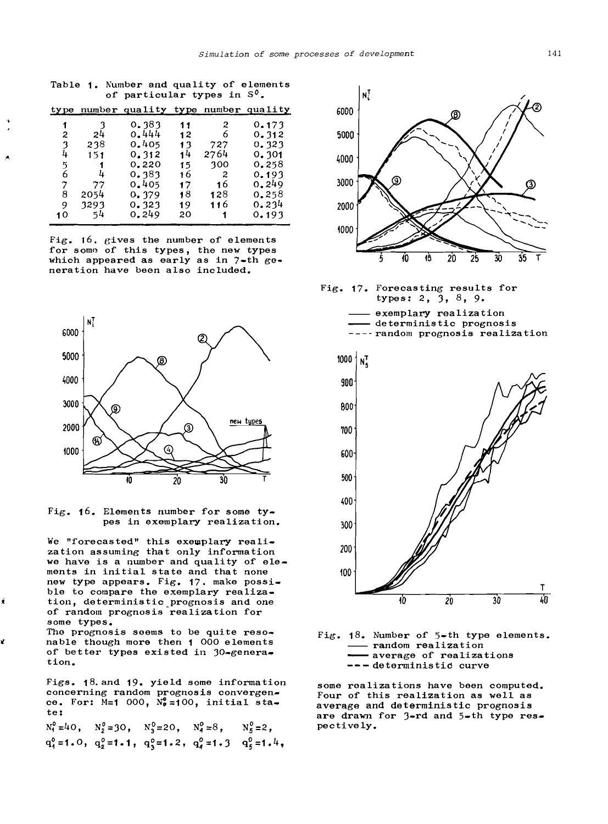Table 1. Number and quality of elements of particular types in  $S^0$ .

|               |    |      | type number quality type number quality |    |      |       |
|---------------|----|------|-----------------------------------------|----|------|-------|
| ۰             |    |      | 0.383                                   | 11 | 2    | 0.173 |
| $\pmb{\cdot}$ | 2  | 24   | 0.444                                   | 12 | 6    | 0.312 |
|               | વ  | 238  | 0.405                                   | 13 | 727  | 0.323 |
| ۸             | 4  | 151  | 0.312                                   | 14 | 2764 | 0.301 |
|               | 5  |      | 0.220                                   | 15 | 300  | 0.258 |
|               | 6  | 4    | 0.383                                   | 16 | 2    | 0.193 |
|               |    | 77   | 0.405                                   | 17 | 16   | 0.249 |
|               | 8  | 2054 | 0.379                                   | 18 | 128  | 0.258 |
|               | 9  | 3293 | 0.323                                   | 19 | 116  | 0.234 |
|               | 10 | 54   | 0.249                                   | 20 |      | 0.193 |

Fig. 16. gives the number of elements for somo of this types, the new types which appeared as early as in 7-th generation have been also included.



Fig. 16. Elements number for some types in exemplary realization.

We "forecasted" this exemplary realization assuming that only information we have is a number and quality of elements in initial state and that none new type appears. Fig. 17. make possible to compare the exemplary realiza**i** tion, deterministic-prognosis and one of random prognosis realization for some types.

The prognosis seems to be quite reso**<sup>t</sup>**nable though more then 1 000 elements of better types existed in 30-generation.

Figs. 18. and 19. yield some information concerning random prognosis convergence. For: M=1 000, N<sub>0</sub>=100, initial sta.<br>te:

 $q_4^0$  = 1.0,  $q_2^0$  = 1.1,  $q_3^0$  = 1.2,  $q_4^0$  = 1.3  $q_5^0$  = 1.4,











some realizations have been computed. Four of this realization as well as average and deterministic prognosis are drawn for 3-rd and 5-th type respectively.